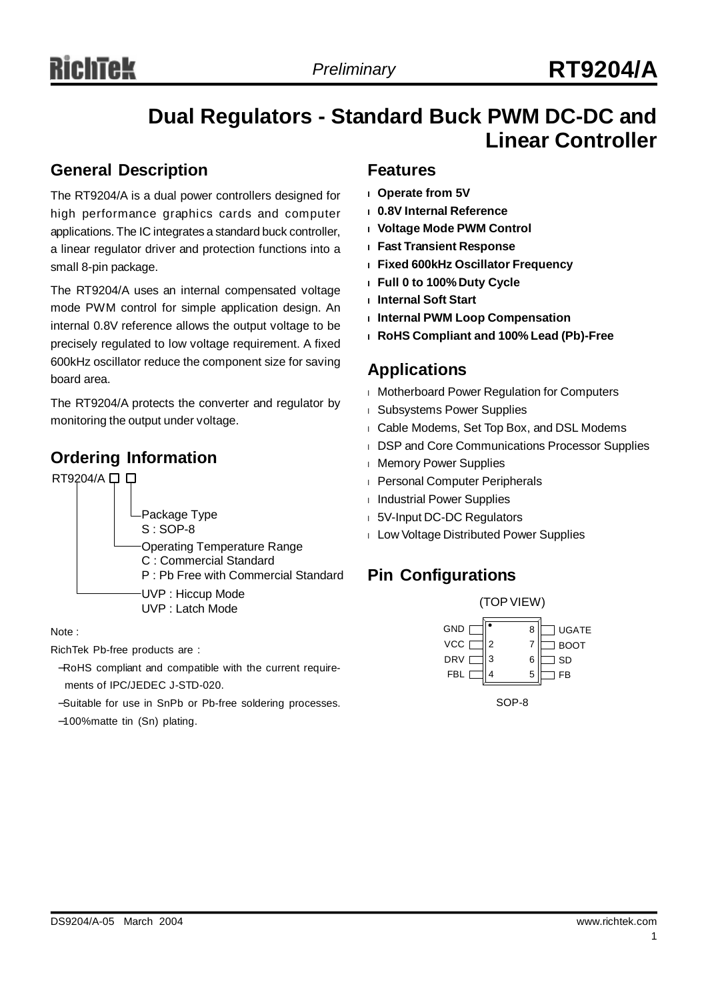### **Dual Regulators - Standard Buck PWM DC-DC and Linear Controller**

### **General Description**

The RT9204/A is a dual power controllers designed for high performance graphics cards and computer applications. The IC integrates a standard buck controller, a linear regulator driver and protection functions into a small 8-pin package.

The RT9204/A uses an internal compensated voltage mode PWM control for simple application design. An internal 0.8V reference allows the output voltage to be precisely regulated to low voltage requirement. A fixed 600kHz oscillator reduce the component size for saving board area.

The RT9204/A protects the converter and regulator by monitoring the output under voltage.

### **Ordering Information**



#### Note :

RichTek Pb-free products are :

−RoHS compliant and compatible with the current requirements of IPC/JEDEC J-STD-020.

−Suitable for use in SnPb or Pb-free soldering processes.

−100%matte tin (Sn) plating.

### **Features**

- **<sup>l</sup> Operate from 5V**
- **<sup>l</sup> 0.8V Internal Reference**
- **<sup>l</sup> Voltage Mode PWM Control**
- **<sup>l</sup> Fast Transient Response**
- **<sup>l</sup> Fixed 600kHz Oscillator Frequency**
- **<sup>l</sup> Full 0 to 100% Duty Cycle**
- **<sup>l</sup> Internal Soft Start**
- **<sup>l</sup> Internal PWM Loop Compensation**
- **<sup>l</sup> RoHS Compliant and 100% Lead (Pb)-Free**

### **Applications**

- <sup>l</sup> Motherboard Power Regulation for Computers
- <sup>l</sup> Subsystems Power Supplies
- <sup>l</sup> Cable Modems, Set Top Box, and DSL Modems
- <sup>l</sup> DSP and Core Communications Processor Supplies
- <sup>l</sup> Memory Power Supplies
- <sup>l</sup> Personal Computer Peripherals
- <sup>l</sup> Industrial Power Supplies
- <sup>l</sup> 5V-Input DC-DC Regulators
- <sup>l</sup> Low Voltage Distributed Power Supplies

### **Pin Configurations**



SOP-8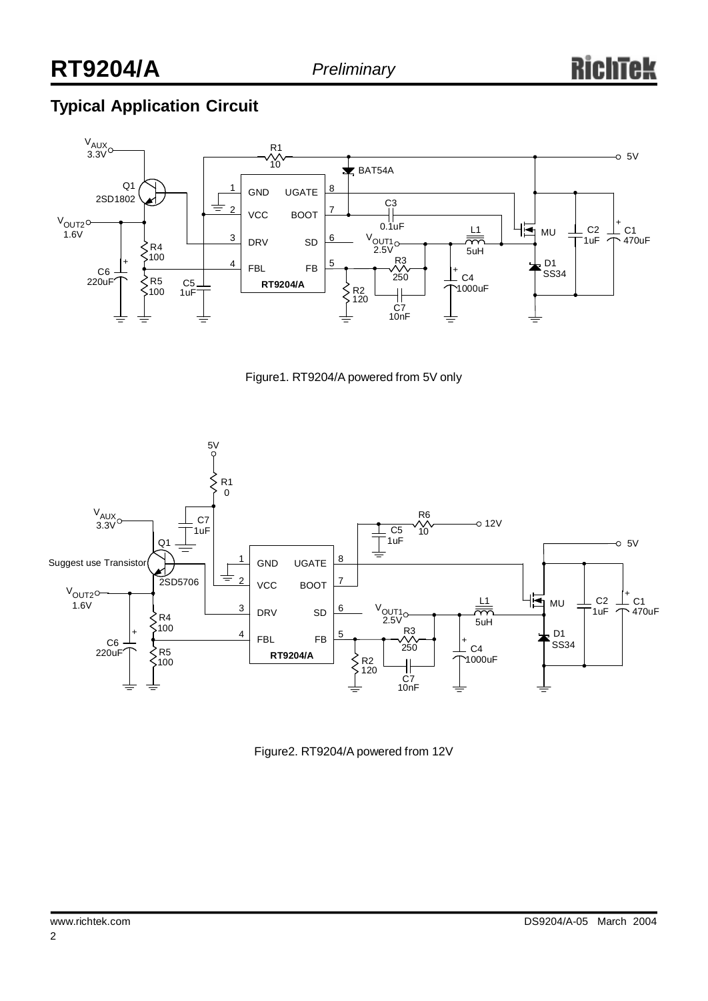## **Typical Application Circuit**







Figure2. RT9204/A powered from 12V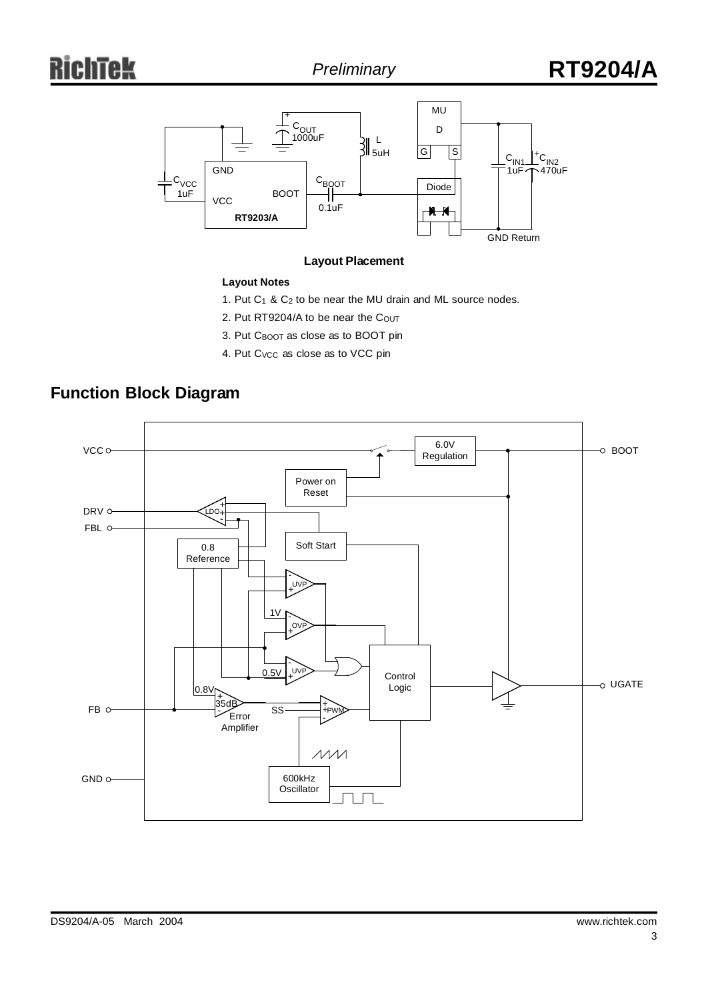

#### **Layout Placement**

#### **Layout Notes**

- 1. Put  $C_1$  &  $C_2$  to be near the MU drain and ML source nodes.
- 2. Put RT9204/A to be near the COUT
- 3. Put C<sub>BOOT</sub> as close as to BOOT pin
- 4. Put C<sub>VCC</sub> as close as to VCC pin

### **Function Block Diagram**

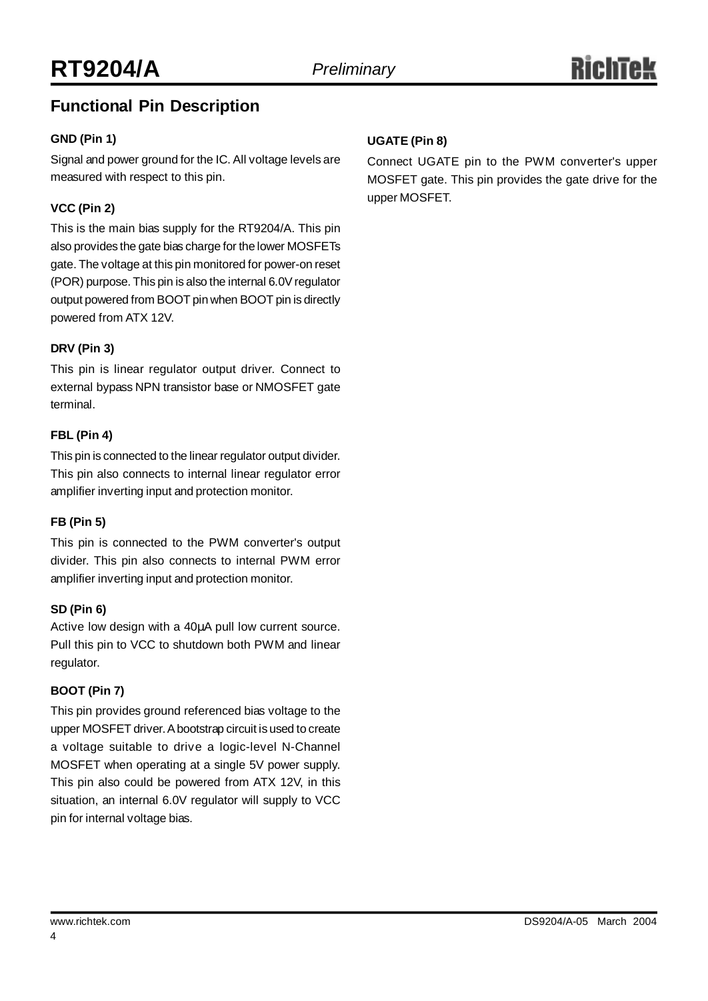### **Functional Pin Description**

### **GND (Pin 1)**

Signal and power ground for the IC. All voltage levels are measured with respect to this pin.

### **VCC (Pin 2)**

This is the main bias supply for the RT9204/A. This pin also provides the gate bias charge for the lower MOSFETs gate. The voltage at this pin monitored for power-on reset (POR) purpose. This pin is also the internal 6.0V regulator output powered from BOOT pin when BOOT pin is directly powered from ATX 12V.

#### **DRV (Pin 3)**

This pin is linear regulator output driver. Connect to external bypass NPN transistor base or NMOSFET gate terminal.

#### **FBL (Pin 4)**

This pin is connected to the linear regulator output divider. This pin also connects to internal linear regulator error amplifier inverting input and protection monitor.

### **FB (Pin 5)**

This pin is connected to the PWM converter's output divider. This pin also connects to internal PWM error amplifier inverting input and protection monitor.

#### **SD (Pin 6)**

Active low design with a 40μA pull low current source. Pull this pin to VCC to shutdown both PWM and linear regulator.

### **BOOT (Pin 7)**

This pin provides ground referenced bias voltage to the upper MOSFET driver.Abootstrap circuit is used to create a voltage suitable to drive a logic-level N-Channel MOSFET when operating at a single 5V power supply. This pin also could be powered from ATX 12V, in this situation, an internal 6.0V regulator will supply to VCC pin for internal voltage bias.

### **UGATE (Pin 8)**

Connect UGATE pin to the PWM converter's upper MOSFET gate. This pin provides the gate drive for the upper MOSFET.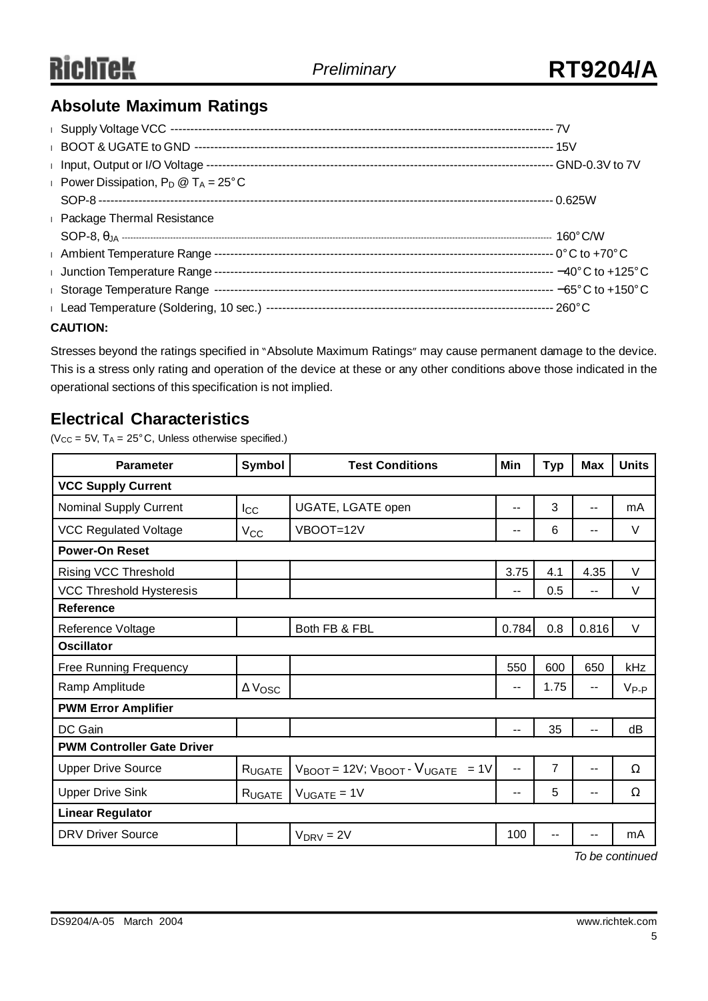### **Absolute Maximum Ratings**

| <b>Power Dissipation, P<sub>D</sub></b> @ $T_A = 25^{\circ}$ C |  |
|----------------------------------------------------------------|--|
|                                                                |  |
| <b>Example 2</b> Package Thermal Resistance                    |  |
|                                                                |  |
|                                                                |  |
|                                                                |  |
|                                                                |  |
|                                                                |  |
| <b>CAUTION:</b>                                                |  |

Stresses beyond the ratings specified in "Absolute Maximum Ratings" may cause permanent damage to the device. This is a stress only rating and operation of the device at these or any other conditions above those indicated in the operational sections of this specification is not implied.

### **Electrical Characteristics**

( $V_{CC}$  = 5V, T<sub>A</sub> = 25°C, Unless otherwise specified.)

| <b>Parameter</b>                  | Symbol                | <b>Test Conditions</b><br>Min                                        |                          | <b>Typ</b> | <b>Max</b> | <b>Units</b> |  |  |
|-----------------------------------|-----------------------|----------------------------------------------------------------------|--------------------------|------------|------------|--------------|--|--|
| <b>VCC Supply Current</b>         |                       |                                                                      |                          |            |            |              |  |  |
| Nominal Supply Current            | $_{\text{lcc}}$       | UGATE, LGATE open                                                    | $-$                      | 3          | --         | mA           |  |  |
| <b>VCC Regulated Voltage</b>      | $V_{\rm CC}$          | VBOOT=12V                                                            | $-$                      | 6          | --         | V            |  |  |
| <b>Power-On Reset</b>             |                       |                                                                      |                          |            |            |              |  |  |
| <b>Rising VCC Threshold</b>       |                       |                                                                      | 3.75                     | 4.1        | 4.35       | V            |  |  |
| <b>VCC Threshold Hysteresis</b>   |                       |                                                                      | $\overline{\phantom{a}}$ | 0.5        | --         | V            |  |  |
| <b>Reference</b>                  |                       |                                                                      |                          |            |            |              |  |  |
| Reference Voltage                 |                       | Both FB & FBL                                                        | 0.784                    | 0.8        | 0.816      | V            |  |  |
| <b>Oscillator</b>                 |                       |                                                                      |                          |            |            |              |  |  |
| Free Running Frequency            |                       |                                                                      | 550                      | 600        | 650        | kHz          |  |  |
| Ramp Amplitude                    | $\Delta V_{\rm{OSC}}$ |                                                                      | --                       | 1.75       | $-$        | $V_{P-P}$    |  |  |
| <b>PWM Error Amplifier</b>        |                       |                                                                      |                          |            |            |              |  |  |
| DC Gain                           |                       |                                                                      | --                       | 35         |            | dB           |  |  |
| <b>PWM Controller Gate Driver</b> |                       |                                                                      |                          |            |            |              |  |  |
| <b>Upper Drive Source</b>         | RUGATE                | $V_{\text{BOOT}}$ = 12V; $V_{\text{BOOT}}$ - $V_{\text{UGATE}}$ = 1V | $- -$                    | 7          | $-$        | Ω            |  |  |
| <b>Upper Drive Sink</b>           | RUGATE                | $V_{UGATE} = 1V$                                                     | $\overline{\phantom{a}}$ | 5          | --         | Ω            |  |  |
| <b>Linear Regulator</b>           |                       |                                                                      |                          |            |            |              |  |  |
| <b>DRV Driver Source</b>          |                       | $V_{DRV} = 2V$                                                       | 100                      | --         |            | mA           |  |  |

*To be continued*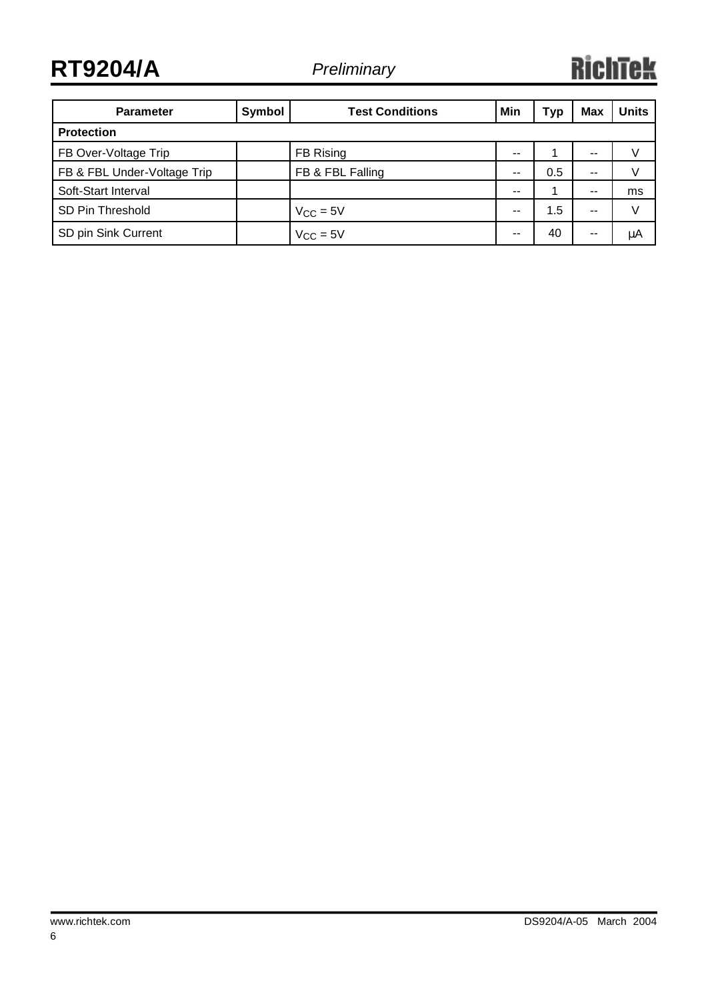**RT9204/A** *Preliminary*

## **RichTek**

| <b>Parameter</b>            | Symbol        | <b>Test Conditions</b> | Min | Тур | <b>Max</b> | <b>Units</b> |  |
|-----------------------------|---------------|------------------------|-----|-----|------------|--------------|--|
| <b>Protection</b>           |               |                        |     |     |            |              |  |
| FB Over-Voltage Trip        |               | FB Rising              | $-$ |     | --         |              |  |
| FB & FBL Under-Voltage Trip |               | FB & FBL Falling       |     | 0.5 | --         |              |  |
| Soft-Start Interval         |               |                        | --  |     | $- -$      | ms           |  |
| SD Pin Threshold            | $V_{CC} = 5V$ |                        | --  | 1.5 | $- -$      | V            |  |
| SD pin Sink Current         |               | $V_{CC} = 5V$          |     | 40  | --         | μA           |  |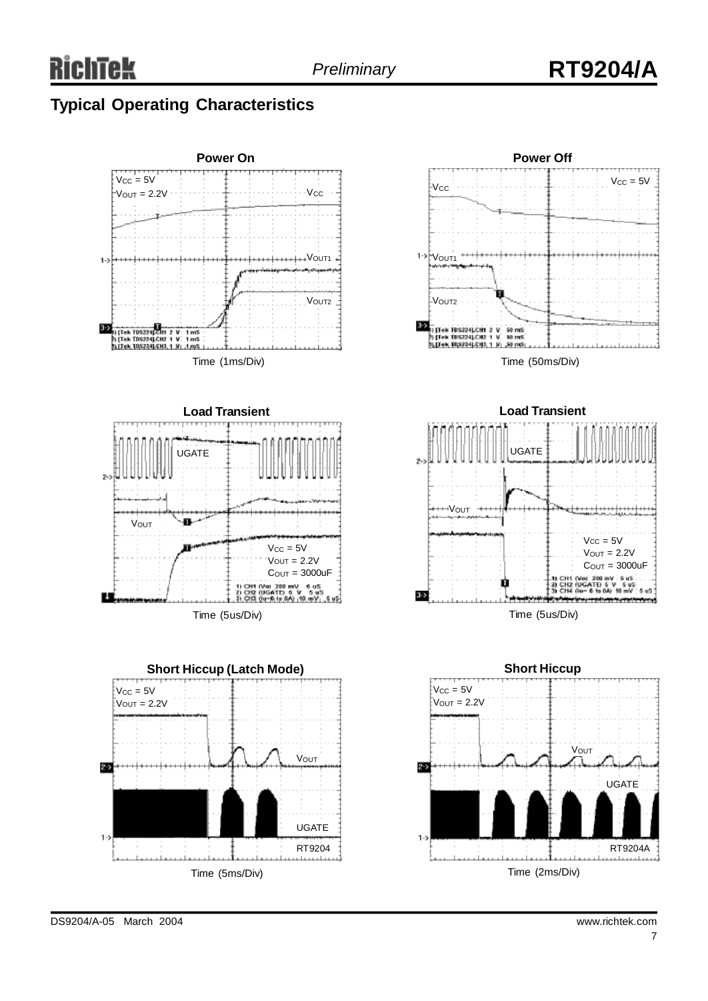## *Preliminary* **RT9204/A**









**Short Hiccup**  $V_{CC} = 5V$  $V$ OUT = 2.2V **V**OUT  $\overline{z}$ UGATE RT9204A Time (2ms/Div)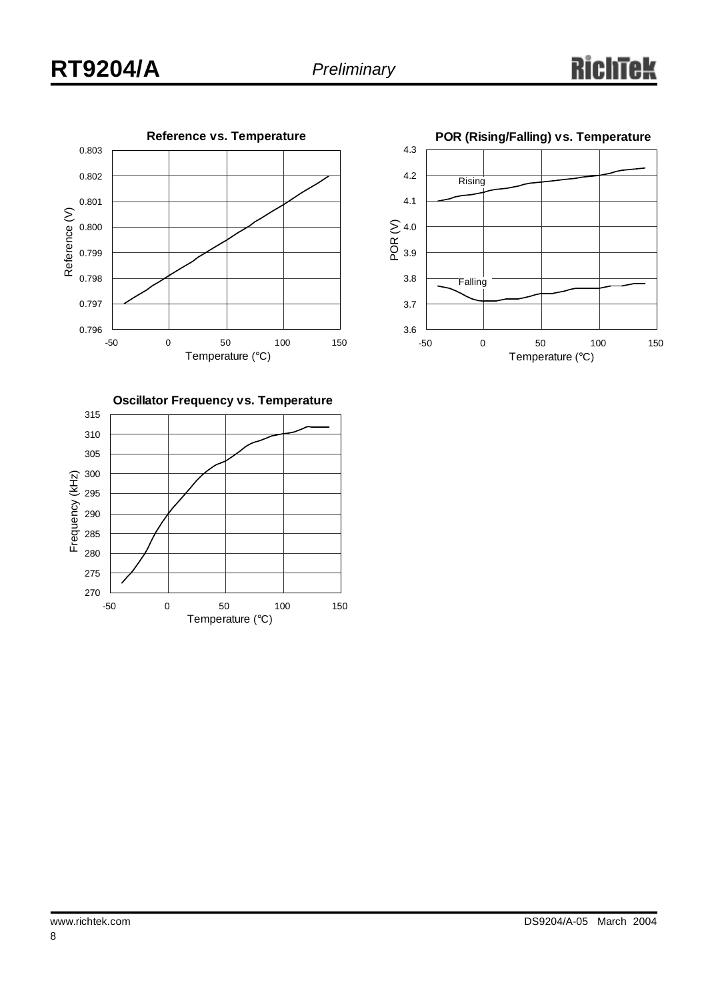



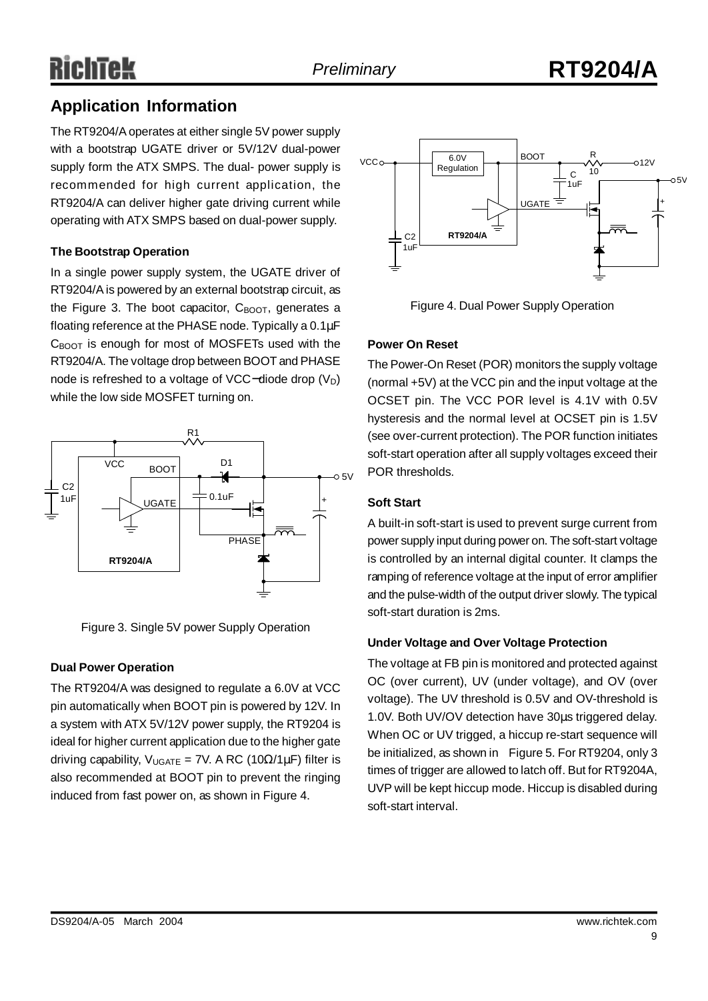## RichTek

### **Application Information**

The RT9204/Aoperates at either single 5V power supply with a bootstrap UGATE driver or 5V/12V dual-power supply form the ATX SMPS. The dual- power supply is recommended for high current application, the RT9204/A can deliver higher gate driving current while operating with ATX SMPS based on dual-power supply.

### **The Bootstrap Operation**

In a single power supply system, the UGATE driver of RT9204/Ais powered by an external bootstrap circuit, as the Figure 3. The boot capacitor,  $C_{\text{BOOT}}$ , generates a floating reference at the PHASE node. Typically a 0.1μF  $C_{\text{BOOT}}$  is enough for most of MOSFETs used with the RT9204/A. The voltage drop between BOOT and PHASE node is refreshed to a voltage of VCC−diode drop (V<sub>D</sub>) while the low side MOSFET turning on.



Figure 3. Single 5V power Supply Operation

### **Dual Power Operation**

The RT9204/A was designed to regulate a 6.0V at VCC pin automatically when BOOT pin is powered by 12V. In a system with ATX 5V/12V power supply, the RT9204 is ideal for higher current application due to the higher gate driving capability,  $V_{UGATE} = 7V$ . A RC (10 $\Omega/1\mu$ F) filter is also recommended at BOOT pin to prevent the ringing induced from fast power on, as shown in Figure 4.



Figure 4. Dual Power Supply Operation

### **Power On Reset**

The Power-On Reset (POR) monitors the supply voltage (normal +5V) at the VCC pin and the input voltage at the OCSET pin. The VCC POR level is 4.1V with 0.5V hysteresis and the normal level at OCSET pin is 1.5V (see over-current protection). The POR function initiates soft-start operation after all supply voltages exceed their POR thresholds.

### **Soft Start**

A built-in soft-start is used to prevent surge current from power supply input during power on. The soft-start voltage is controlled by an internal digital counter. It clamps the ramping of reference voltage at the input of error amplifier and the pulse-width of the output driver slowly. The typical soft-start duration is 2ms.

### **Under Voltage and Over Voltage Protection**

The voltage at FB pin is monitored and protected against OC (over current), UV (under voltage), and OV (over voltage). The UV threshold is 0.5V and OV-threshold is 1.0V. Both UV/OV detection have 30μs triggered delay. When OC or UV trigged, a hiccup re-start sequence will be initialized, as shown in Figure 5. For RT9204, only 3 times of trigger are allowed to latch off. But for RT9204A, UVP will be kept hiccup mode. Hiccup is disabled during soft-start interval.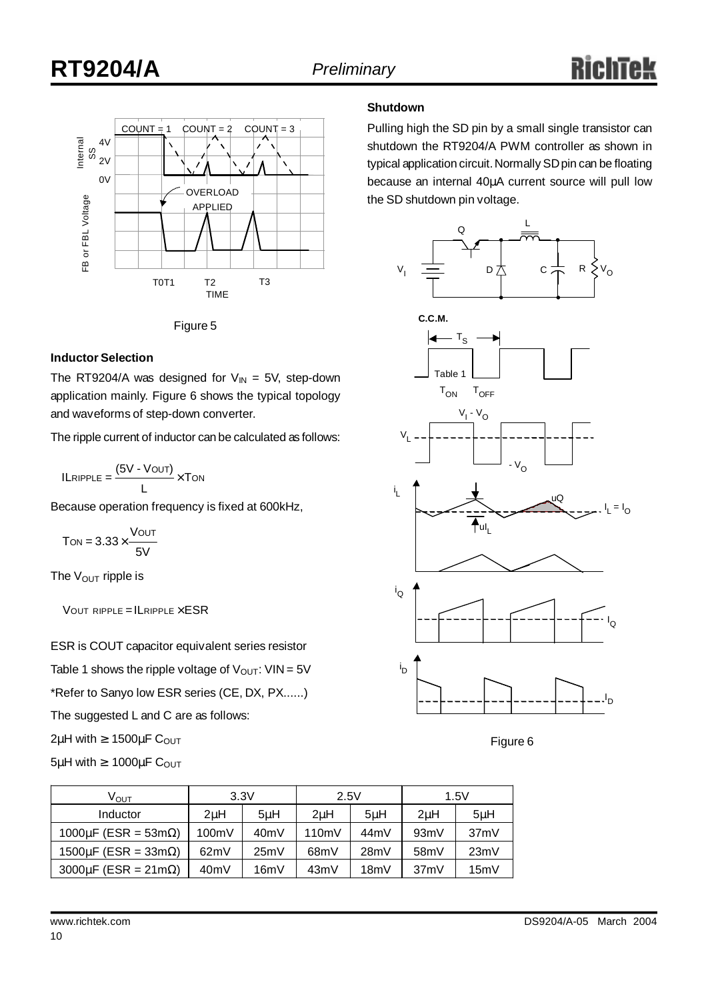



#### **Inductor Selection**

The RT9204/A was designed for  $V_{IN} = 5V$ , step-down application mainly. Figure 6 shows the typical topology and waveforms of step-down converter.

The ripple current of inductor can be calculated as follows:

$$
ILRIPPLE = \frac{(5V - VOUT)}{L} \times Ton
$$

Because operation frequency is fixed at 600kHz,

$$
T_{ON} = 3.33 \times \frac{V_{OUT}}{5V}
$$

The  $V_{\text{OUT}}$  ripple is

 $V$ OUT RIPPLE = ILRIPPLE  $\times$  ESR

ESR is COUT capacitor equivalent series resistor

Table 1 shows the ripple voltage of  $V_{OUT}$ : VIN = 5V

\*Refer to Sanyo low ESR series (CE, DX, PX......)

The suggested L and C are as follows:

 $2\mu$ H with  $\geq 1500\mu$ F C<sub>OUT</sub>

$$
5\mu H \text{ with } \geq 1000\mu F \text{ C}_{OUT}
$$

#### **Shutdown**

Pulling high the SD pin by a small single transistor can shutdown the RT9204/A PWM controller as shown in typical application circuit. Normally SD pin can be floating because an internal 40μA current source will pull low the SD shutdown pin voltage.



Figure 6

| ∨ <sub>ουτ</sub>                   | 3.3V<br>2.5V     |      |       | 1.5V |                   |         |
|------------------------------------|------------------|------|-------|------|-------------------|---------|
| Inductor                           | 2 <sub>u</sub> H | 5uH  | 2uH   | 5uH  | 2 <sub>u</sub> H  | $5\muH$ |
| 1000µF (ESR = 53m $\Omega$ )       | 100mV            | 40mV | 110mV | 44mV | 93mV              | 37mV    |
| $1500 \mu F$ (ESR = 33m $\Omega$ ) | 62mV             | 25mV | 68mV  | 28mV | 58 <sub>m</sub> V | 23mV    |
| $3000 \mu F$ (ESR = 21m $\Omega$ ) | 40mV             | 16mV | 43mV  | 18mV | 37mV              | 15mV    |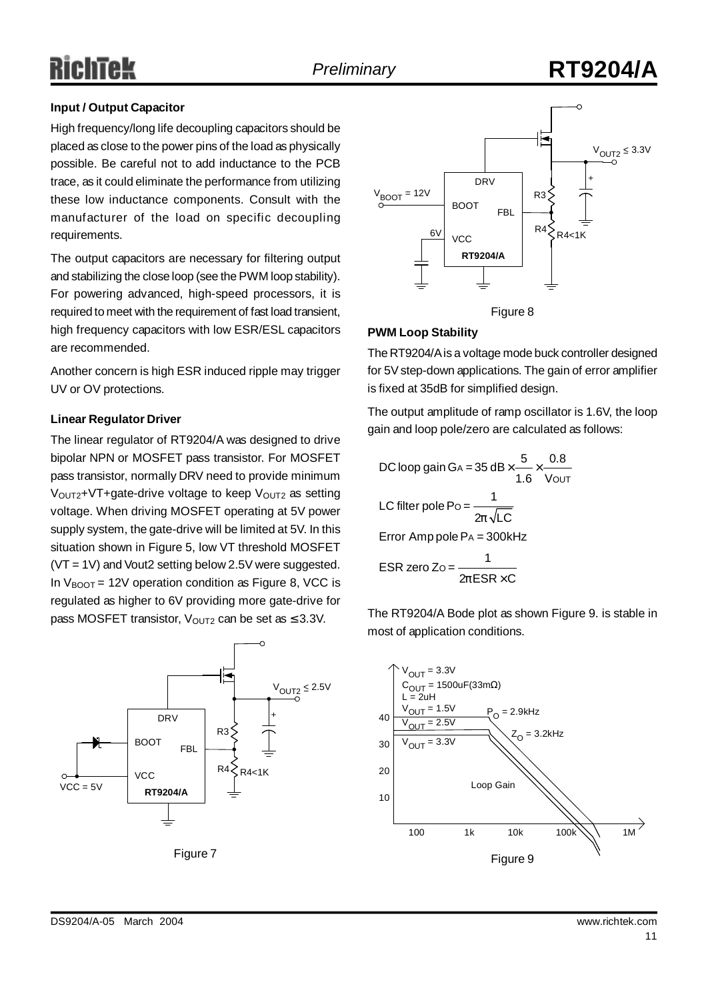## RichTek

## *Preliminary* **RT9204/A**

### **Input / Output Capacitor**

High frequency/long life decoupling capacitors should be placed as close to the power pins of the load as physically possible. Be careful not to add inductance to the PCB trace, as it could eliminate the performance from utilizing these low inductance components. Consult with the manufacturer of the load on specific decoupling requirements.

The output capacitors are necessary for filtering output and stabilizing the close loop (see the PWM loop stability). For powering advanced, high-speed processors, it is required to meet with the requirement of fast load transient, high frequency capacitors with low ESR/ESL capacitors are recommended.

Another concern is high ESR induced ripple may trigger UV or OV protections.

### **Linear Regulator Driver**

The linear regulator of RT9204/A was designed to drive bipolar NPN or MOSFET pass transistor. For MOSFET pass transistor, normally DRV need to provide minimum  $V<sub>OUT2</sub>+VT+gate-driven$  voltage to keep  $V<sub>OUT2</sub>$  as setting voltage. When driving MOSFET operating at 5V power supply system, the gate-drive will be limited at 5V. In this situation shown in Figure 5, low VT threshold MOSFET (VT = 1V) and Vout2 setting below 2.5V were suggested. In  $V_{\text{BOOT}}$  = 12V operation condition as Figure 8, VCC is regulated as higher to 6V providing more gate-drive for pass MOSFET transistor,  $V_{\text{OUT2}}$  can be set as  $\leq 3.3V$ .







#### **PWM Loop Stability**

The RT9204/Ais a voltage mode buck controller designed for 5V step-down applications. The gain of error amplifier is fixed at 35dB for simplified design.

The output amplitude of ramp oscillator is 1.6V, the loop gain and loop pole/zero are calculated as follows:

DC loop gain GA = 
$$
35 \text{ dB} \times \frac{5}{1.6} \times \frac{0.8}{\text{Vout}}
$$
  
\nLC filter pole Po =  $\frac{1}{2p\sqrt{LC}}$   
\nError Amp pole Pa =  $300\text{kHz}$   
\nESR zero Zo =  $\frac{1}{2pESR \times C}$ 

The RT9204/A Bode plot as shown Figure 9. is stable in most of application conditions.

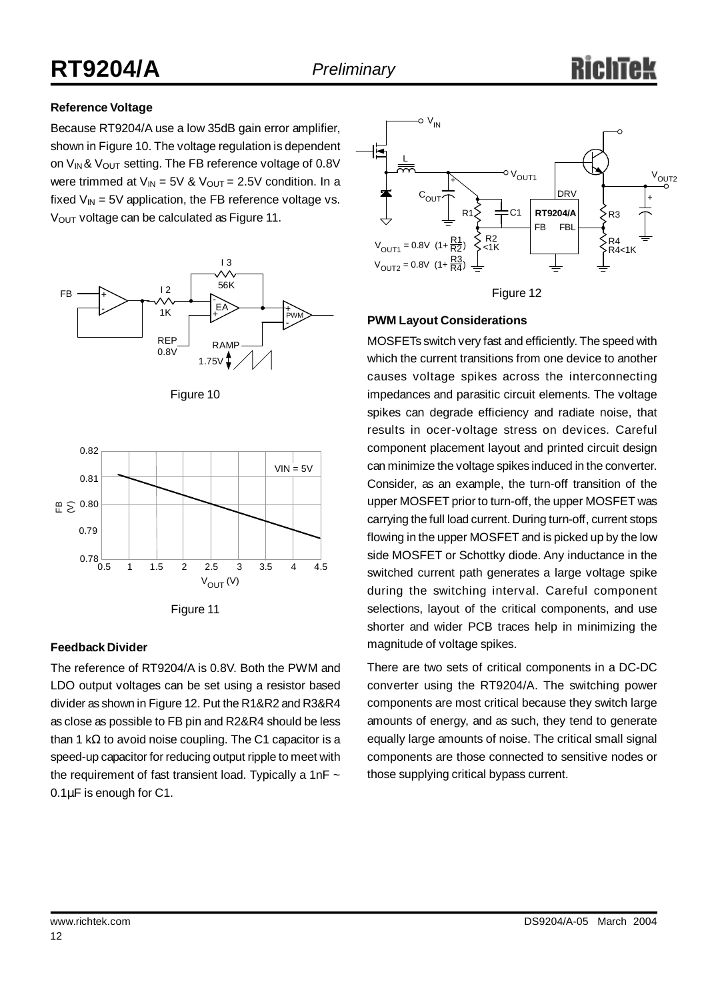### **Reference Voltage**

Because RT9204/A use a low 35dB gain error amplifier, shown in Figure 10. The voltage regulation is dependent on  $V_{IN}$ &  $V_{OUT}$  setting. The FB reference voltage of 0.8V were trimmed at  $V_{IN} = 5V$  &  $V_{OUT} = 2.5V$  condition. In a fixed  $V_{IN}$  = 5V application, the FB reference voltage vs. V<sub>OUT</sub> voltage can be calculated as Figure 11.



Figure 10





### **Feedback Divider**

The reference of RT9204/A is 0.8V. Both the PWM and LDO output voltages can be set using a resistor based divider as shown in Figure 12. Put the R1&R2 and R3&R4 as close as possible to FB pin and R2&R4 should be less than 1 kΩ to avoid noise coupling. The C1 capacitor is a speed-up capacitor for reducing output ripple to meet with the requirement of fast transient load. Typically a 1nF  $\sim$ 0.1μF is enough for C1.



### **PWM Layout Considerations**

MOSFETs switch very fast and efficiently. The speed with which the current transitions from one device to another causes voltage spikes across the interconnecting impedances and parasitic circuit elements. The voltage spikes can degrade efficiency and radiate noise, that results in ocer-voltage stress on devices. Careful component placement layout and printed circuit design can minimize the voltage spikes induced in the converter. Consider, as an example, the turn-off transition of the upper MOSFET prior to turn-off, the upper MOSFET was carrying the full load current. During turn-off, current stops flowing in the upper MOSFET and is picked up by the low side MOSFET or Schottky diode. Any inductance in the switched current path generates a large voltage spike during the switching interval. Careful component selections, layout of the critical components, and use shorter and wider PCB traces help in minimizing the magnitude of voltage spikes.

There are two sets of critical components in a DC-DC converter using the RT9204/A. The switching power components are most critical because they switch large amounts of energy, and as such, they tend to generate equally large amounts of noise. The critical small signal components are those connected to sensitive nodes or those supplying critical bypass current.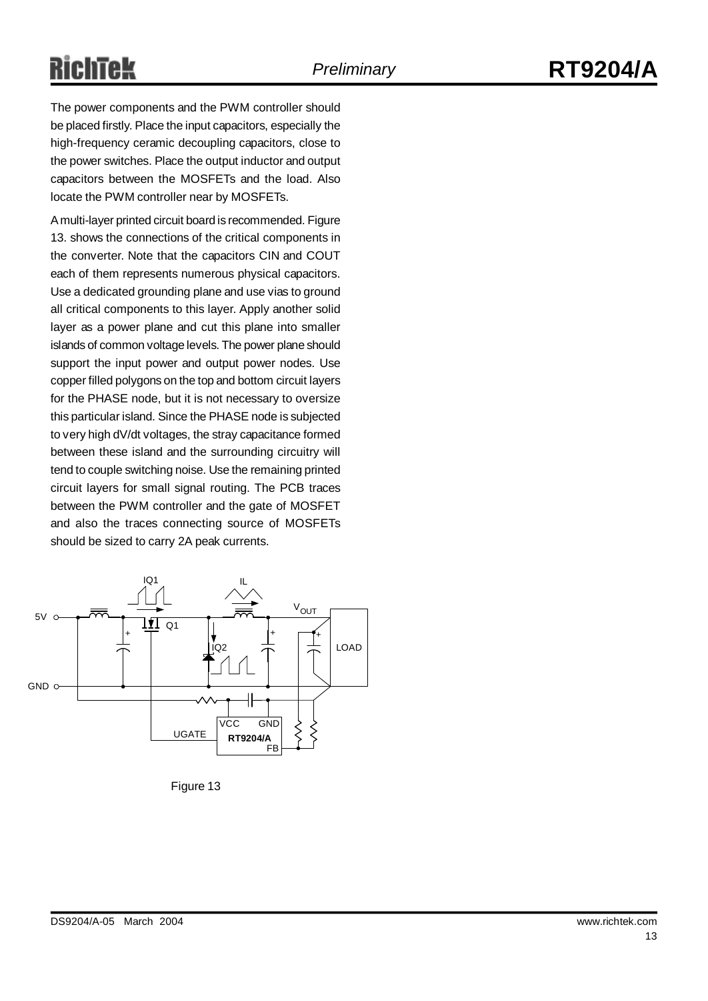# RichTek

The power components and the PWM controller should be placed firstly. Place the input capacitors, especially the high-frequency ceramic decoupling capacitors, close to the power switches. Place the output inductor and output capacitors between the MOSFETs and the load. Also locate the PWM controller near by MOSFETs.

A multi-layer printed circuit board is recommended. Figure 13. shows the connections of the critical components in the converter. Note that the capacitors CIN and COUT each of them represents numerous physical capacitors. Use a dedicated grounding plane and use vias to ground all critical components to this layer. Apply another solid layer as a power plane and cut this plane into smaller islands of common voltage levels. The power plane should support the input power and output power nodes. Use copper filled polygons on the top and bottom circuit layers for the PHASE node, but it is not necessary to oversize this particular island. Since the PHASE node is subjected to very high dV/dt voltages, the stray capacitance formed between these island and the surrounding circuitry will tend to couple switching noise. Use the remaining printed circuit layers for small signal routing. The PCB traces between the PWM controller and the gate of MOSFET and also the traces connecting source of MOSFETs should be sized to carry 2A peak currents.



Figure 13